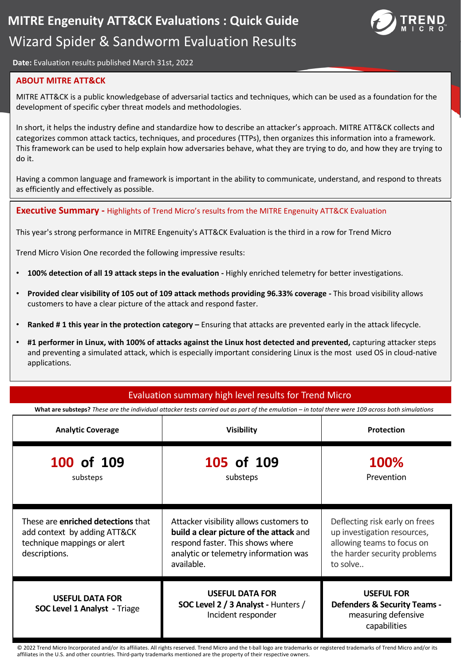

**Date:** Evaluation results published March 31st, 2022

### **ABOUT MITRE ATT&CK**

MITRE ATT&CK is a public knowledgebase of adversarial tactics and techniques, which can be used as a foundation for the development of specific cyber threat models and methodologies.

In short, it helps the industry define and standardize how to describe an attacker's approach. MITRE ATT&CK collects and categorizes common attack tactics, techniques, and procedures (TTPs), then organizes this information into a framework. This framework can be used to help explain how adversaries behave, what they are trying to do, and how they are trying to do it.

Having a common language and framework is important in the ability to communicate, understand, and respond to threats as efficiently and effectively as possible.

**Executive Summary -** Highlights of Trend Micro's results from the MITRE Engenuity ATT&CK Evaluation

This year's strong performance in MITRE Engenuity's ATT&CK Evaluation is the third in a row for Trend Micro

Trend Micro Vision One recorded the following impressive results:

- **100% detection of all 19 attack steps in the evaluation -** Highly enriched telemetry for better investigations.
- **Provided clear visibility of 105 out of 109 attack methods providing 96.33% coverage -** This broad visibility allows customers to have a clear picture of the attack and respond faster.
- **Ranked # 1 this year in the protection category –** Ensuring that attacks are prevented early in the attack lifecycle.
- **#1 performer in Linux, with 100% of attacks against the Linux host detected and prevented,** capturing attacker steps and preventing a simulated attack, which is especially important considering Linux is the most used OS in cloud-native applications.

### Evaluation summary high level results for Trend Micro

**What are substeps?** *These are the individual attacker tests carried out as part of the emulation – in total there were 109 across both simulations* 

| <b>Analytic Coverage</b>                                                                                                  | <b>Visibility</b>                                                                                                                                                             | <b>Protection</b>                                                                                                                       |  |
|---------------------------------------------------------------------------------------------------------------------------|-------------------------------------------------------------------------------------------------------------------------------------------------------------------------------|-----------------------------------------------------------------------------------------------------------------------------------------|--|
| 100 of 109<br>substeps                                                                                                    | 105 of 109<br>substeps                                                                                                                                                        | <b>100%</b><br>Prevention                                                                                                               |  |
| These are <b>enriched detections</b> that<br>add context by adding ATT&CK<br>technique mappings or alert<br>descriptions. | Attacker visibility allows customers to<br>build a clear picture of the attack and<br>respond faster. This shows where<br>analytic or telemetry information was<br>available. | Deflecting risk early on frees<br>up investigation resources,<br>allowing teams to focus on<br>the harder security problems<br>to solve |  |
| <b>USEFUL DATA FOR</b><br><b>SOC Level 1 Analyst - Triage</b>                                                             | <b>USEFUL DATA FOR</b><br>SOC Level 2 / 3 Analyst - Hunters /<br>Incident responder                                                                                           | <b>USEFUL FOR</b><br><b>Defenders &amp; Security Teams -</b><br>measuring defensive<br>capabilities                                     |  |

© 2022 Trend Micro Incorporated and/or its affiliates. All rights reserved. Trend Micro and the t-ball logo are trademarks or registered trademarks of Trend Micro and/or its affiliates in the U.S. and other countries. Third-party trademarks mentioned are the property of their respective owners.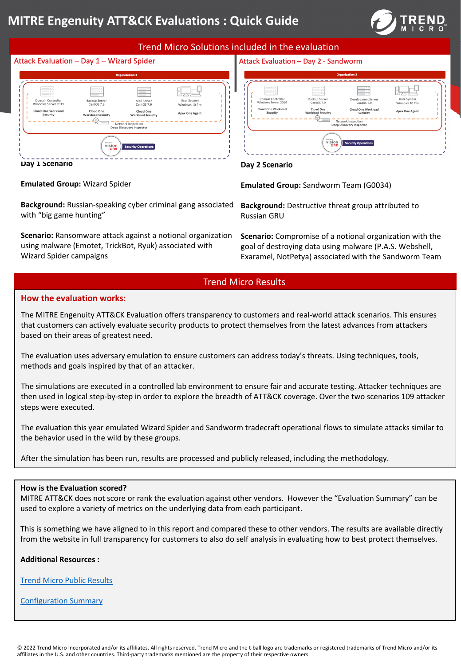# **MITRE Engenuity ATT&CK Evaluations : Quick Guide**



# Trend Micro Solutions included in the evaluation Attack Evaluation - Day 1 - Wizard Spider Attack Evaluation - Day 2 - Sandworm НŲ





**Day 1 Scenario**

#### **Emulated Group:** Wizard Spider

**Background:** Russian-speaking cyber criminal gang associated with "big game hunting"

**Scenario:** Ransomware attack against a notional organization using malware (Emotet, TrickBot, Ryuk) associated with Wizard Spider campaigns

**Emulated Group:** Sandworm Team (G0034)

**Background:** Destructive threat group attributed to Russian GRU

**Scenario:** Compromise of a notional organization with the goal of destroying data using malware (P.A.S. Webshell, Exaramel, NotPetya) associated with the Sandworm Team

## Trend Micro Results

### **How the evaluation works:**

The MITRE Engenuity ATT&CK Evaluation offers transparency to customers and real-world attack scenarios. This ensures that customers can actively evaluate security products to protect themselves from the latest advances from attackers based on their areas of greatest need.

The evaluation uses adversary emulation to ensure customers can address today's threats. Using techniques, tools, methods and goals inspired by that of an attacker.

The simulations are executed in a controlled lab environment to ensure fair and accurate testing. Attacker techniques are then used in logical step-by-step in order to explore the breadth of ATT&CK coverage. Over the two scenarios 109 attacker steps were executed.

The evaluation this year emulated Wizard Spider and Sandworm tradecraft operational flows to simulate attacks similar to the behavior used in the wild by these groups.

After the simulation has been run, results are processed and publicly released, including the methodology.

### **How is the Evaluation scored?**

MITRE ATT&CK does not score or rank the evaluation against other vendors. However the "Evaluation Summary" can be used to explore a variety of metrics on the underlying data from each participant.

This is something we have aligned to in this report and compared these to other vendors. The results are available directly from the website in full transparency for customers to also do self analysis in evaluating how to best protect themselves.

**Additional Resources :**

Trend Micro Public Results

Configuration Summary

**Day 2 Scenario**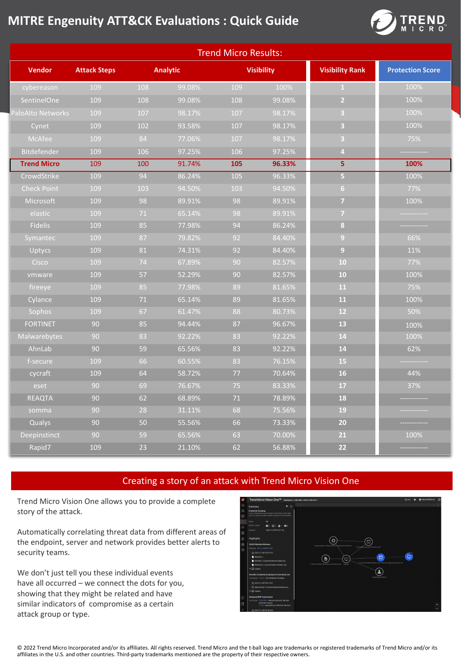# **MITRE Engenuity ATT&CK Evaluations : Quick Guide**



| <b>Trend Micro Results:</b> |                     |        |                 |        |                   |                         |                         |
|-----------------------------|---------------------|--------|-----------------|--------|-------------------|-------------------------|-------------------------|
| <b>Vendor</b>               | <b>Attack Steps</b> |        | <b>Analytic</b> |        | <b>Visibility</b> | <b>Visibility Rank</b>  | <b>Protection Score</b> |
| cybereason                  | 109                 | 108    | 99.08%          | 109    | 100%              | $\mathbf{1}$            | 100%                    |
| SentinelOne                 | 109                 | 108    | 99.08%          | 108    | 99.08%            | $\overline{2}$          | 100%                    |
| <b>PaloAlto Networks</b>    | 109                 | 107    | 98.17%          | 107    | 98.17%            | 3                       | 100%                    |
| Cynet                       | 109                 | 102    | 93.58%          | 107    | 98.17%            | $\overline{\mathbf{3}}$ | 100%                    |
| McAfee                      | 109                 | 84     | 77.06%          | 107    | 98.17%            | 3                       | 75%                     |
| Bitdefender                 | 109                 | 106    | 97.25%          | 106    | 97.25%            | $\overline{4}$          |                         |
| <b>Trend Micro</b>          | 109                 | 100    | 91.74%          | 105    | 96.33%            | 5                       | 100%                    |
| CrowdStrike                 | 109                 | 94     | 86.24%          | 105    | 96.33%            | $\overline{\mathbf{5}}$ | 100%                    |
| <b>Check Point</b>          | 109                 | 103    | 94.50%          | 103    | 94.50%            | 6 <sup>1</sup>          | 77%                     |
| Microsoft                   | 109                 | 98     | 89.91%          | 98     | 89.91%            | $\overline{7}$          | 100%                    |
| elastic                     | 109                 | 71     | 65.14%          | 98     | 89.91%            | $\overline{7}$          |                         |
| Fidelis                     | 109                 | 85     | 77.98%          | 94     | 86.24%            | $\overline{\mathbf{8}}$ |                         |
| Symantec                    | 109                 | 87     | 79.82%          | 92     | 84.40%            | 9                       | 66%                     |
| Uptycs                      | 109                 | 81     | 74.31%          | 92     | 84.40%            | $\overline{9}$          | 11%                     |
| Cisco                       | 109                 | 74     | 67.89%          | 90     | 82.57%            | 10                      | 77%                     |
| vmware                      | 109                 | 57     | 52.29%          | 90     | 82.57%            | 10                      | 100%                    |
| fireeye                     | 109                 | 85     | 77.98%          | 89     | 81.65%            | 11                      | 75%                     |
| Cylance                     | 109                 | $71\,$ | 65.14%          | 89     | 81.65%            | 11                      | 100%                    |
| Sophos                      | 109                 | 67     | 61.47%          | 88     | 80.73%            | 12                      | 50%                     |
| <b>FORTINET</b>             | 90                  | 85     | 94.44%          | 87     | 96.67%            | 13                      | 100%                    |
| Malwarebytes                | 90                  | 83     | 92.22%          | 83     | 92.22%            | 14                      | 100%                    |
| AhnLab                      | 90                  | 59     | 65.56%          | 83     | 92.22%            | 14                      | 62%                     |
| f-secure                    | 109                 | 66     | 60.55%          | 83     | 76.15%            | 15                      |                         |
| cycraft                     | 109                 | 64     | 58.72%          | $77$   | 70.64%            | 16                      | 44%                     |
| eset                        | 90                  | 69     | 76.67%          | 75     | 83.33%            | 17                      | 37%                     |
| <b>REAQTA</b>               | 90                  | 62     | 68.89%          | $71\,$ | 78.89%            | 18                      |                         |
| somma                       | 90                  | 28     | 31.11%          | 68     | 75.56%            | 19                      |                         |
| Qualys                      | 90                  | 50     | 55.56%          | 66     | 73.33%            | 20                      |                         |
| Deepinstinct                | 90                  | 59     | 65.56%          | 63     | 70.00%            | 21                      | 100%                    |
| Rapid7                      | 109                 | 23     | 21.10%          | 62     | 56.88%            | 22                      |                         |

# Creating a story of an attack with Trend Micro Vision One

Trend Micro Vision One allows you to provide a complete story of the attack.

Automatically correlating threat data from different areas of the endpoint, server and network provides better alerts to security teams.

We don't just tell you these individual events have all occurred – we connect the dots for you, showing that they might be related and have similar indicators of compromise as a certain attack group or type.



© 2022 Trend Micro Incorporated and/or its affiliates. All rights reserved. Trend Micro and the t-ball logo are trademarks or registered trademarks of Trend Micro and/or its affiliates in the U.S. and other countries. Third-party trademarks mentioned are the property of their respective owners.